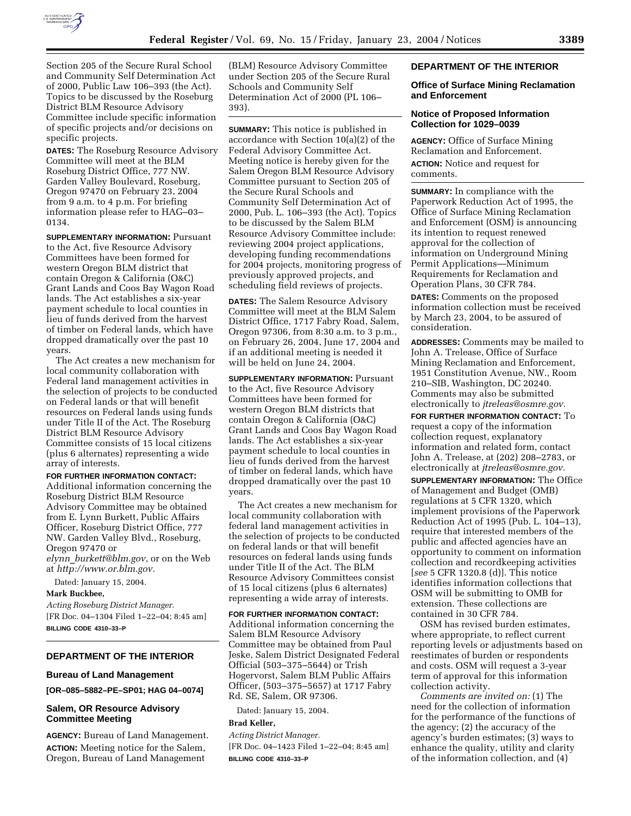

Section 205 of the Secure Rural School and Community Self Determination Act of 2000, Public Law 106–393 (the Act). Topics to be discussed by the Roseburg District BLM Resource Advisory Committee include specific information of specific projects and/or decisions on specific projects.

**DATES:** The Roseburg Resource Advisory Committee will meet at the BLM Roseburg District Office, 777 NW. Garden Valley Boulevard, Roseburg, Oregon 97470 on February 23, 2004 from 9 a.m. to 4 p.m. For briefing information please refer to HAG–03– 0134.

**SUPPLEMENTARY INFORMATION:** Pursuant to the Act, five Resource Advisory Committees have been formed for western Oregon BLM district that contain Oregon & California (O&C) Grant Lands and Coos Bay Wagon Road lands. The Act establishes a six-year payment schedule to local counties in lieu of funds derived from the harvest of timber on Federal lands, which have dropped dramatically over the past 10 years.

The Act creates a new mechanism for local community collaboration with Federal land management activities in the selection of projects to be conducted on Federal lands or that will benefit resources on Federal lands using funds under Title II of the Act. The Roseburg District BLM Resource Advisory Committee consists of 15 local citizens (plus 6 alternates) representing a wide array of interests.

### **FOR FURTHER INFORMATION CONTACT:**

Additional information concerning the Roseburg District BLM Resource Advisory Committee may be obtained from E. Lynn Burkett, Public Affairs Officer, Roseburg District Office, 777 NW. Garden Valley Blvd., Roseburg, Oregon 97470 or *elynn*\_*burkett@blm.gov,* or on the Web at *http://www.or.blm.gov.*

Dated: January 15, 2004.

**Mark Buckbee,** 

*Acting Roseburg District Manager.* [FR Doc. 04–1304 Filed 1–22–04; 8:45 am] **BILLING CODE 4310–33–P**

# **DEPARTMENT OF THE INTERIOR**

#### **Bureau of Land Management**

**[OR–085–5882–PE–SP01; HAG 04–0074]** 

# **Salem, OR Resource Advisory Committee Meeting**

**AGENCY:** Bureau of Land Management. **ACTION:** Meeting notice for the Salem, Oregon, Bureau of Land Management

(BLM) Resource Advisory Committee under Section 205 of the Secure Rural Schools and Community Self Determination Act of 2000 (PL 106– 393).

**SUMMARY:** This notice is published in accordance with Section 10(a)(2) of the Federal Advisory Committee Act. Meeting notice is hereby given for the Salem Oregon BLM Resource Advisory Committee pursuant to Section 205 of the Secure Rural Schools and Community Self Determination Act of 2000, Pub. L. 106–393 (the Act). Topics to be discussed by the Salem BLM Resource Advisory Committee include: reviewing 2004 project applications, developing funding recommendations for 2004 projects, monitoring progress of previously approved projects, and scheduling field reviews of projects.

**DATES:** The Salem Resource Advisory Committee will meet at the BLM Salem District Office, 1717 Fabry Road, Salem, Oregon 97306, from 8:30 a.m. to 3 p.m., on February 26, 2004, June 17, 2004 and if an additional meeting is needed it will be held on June 24, 2004.

**SUPPLEMENTARY INFORMATION: Pursuant** to the Act, five Resource Advisory Committees have been formed for western Oregon BLM districts that contain Oregon & California (O&C) Grant Lands and Coos Bay Wagon Road lands. The Act establishes a six-year payment schedule to local counties in lieu of funds derived from the harvest of timber on federal lands, which have dropped dramatically over the past 10 years.

The Act creates a new mechanism for local community collaboration with federal land management activities in the selection of projects to be conducted on federal lands or that will benefit resources on federal lands using funds under Title II of the Act. The BLM Resource Advisory Committees consist of 15 local citizens (plus 6 alternates) representing a wide array of interests.

#### **FOR FURTHER INFORMATION CONTACT:**

Additional information concerning the Salem BLM Resource Advisory Committee may be obtained from Paul Jeske, Salem District Designated Federal Official (503–375–5644) or Trish Hogervorst, Salem BLM Public Affairs Officer, (503–375–5657) at 1717 Fabry Rd. SE, Salem, OR 97306.

Dated: January 15, 2004.

#### **Brad Keller,**

*Acting District Manager.* [FR Doc. 04–1423 Filed 1–22–04; 8:45 am] **BILLING CODE 4310–33–P**

### **DEPARTMENT OF THE INTERIOR**

#### **Office of Surface Mining Reclamation and Enforcement**

## **Notice of Proposed Information Collection for 1029–0039**

**AGENCY:** Office of Surface Mining Reclamation and Enforcement. **ACTION:** Notice and request for comments.

**SUMMARY:** In compliance with the Paperwork Reduction Act of 1995, the Office of Surface Mining Reclamation and Enforcement (OSM) is announcing its intention to request renewed approval for the collection of information on Underground Mining Permit Applications—Minimum Requirements for Reclamation and Operation Plans, 30 CFR 784.

**DATES:** Comments on the proposed information collection must be received by March 23, 2004, to be assured of consideration.

**ADDRESSES:** Comments may be mailed to John A. Trelease, Office of Surface Mining Reclamation and Enforcement, 1951 Constitution Avenue, NW., Room 210–SIB, Washington, DC 20240. Comments may also be submitted electronically to *jtreleas@osmre.gov.*

**FOR FURTHER INFORMATION CONTACT:** To request a copy of the information collection request, explanatory information and related form, contact John A. Trelease, at (202) 208–2783, or electronically at *jtreleas@osmre.gov.*

**SUPPLEMENTARY INFORMATION:** The Office of Management and Budget (OMB) regulations at 5 CFR 1320, which implement provisions of the Paperwork Reduction Act of 1995 (Pub. L. 104–13), require that interested members of the public and affected agencies have an opportunity to comment on information collection and recordkeeping activities [*see* 5 CFR 1320.8 (d)]. This notice identifies information collections that OSM will be submitting to OMB for extension. These collections are contained in 30 CFR 784.

OSM has revised burden estimates, where appropriate, to reflect current reporting levels or adjustments based on reestimates of burden or respondents and costs. OSM will request a 3-year term of approval for this information collection activity.

*Comments are invited on:* (1) The need for the collection of information for the performance of the functions of the agency; (2) the accuracy of the agency's burden estimates; (3) ways to enhance the quality, utility and clarity of the information collection, and (4)